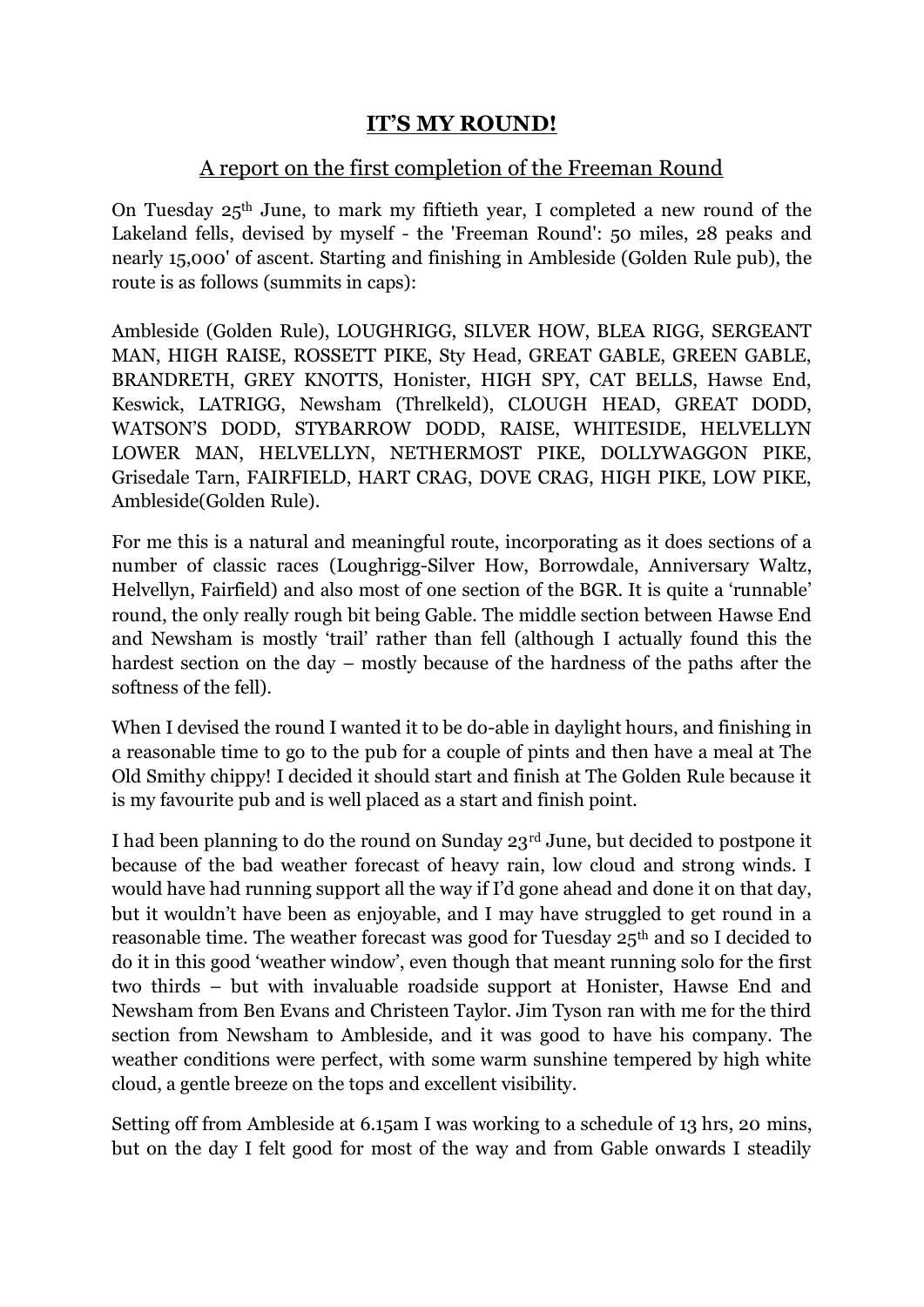## **IT'S MY ROUND!**

## A report on the first completion of the Freeman Round

On Tuesday 25th June, to mark my fiftieth year, I completed a new round of the Lakeland fells, devised by myself - the 'Freeman Round': 50 miles, 28 peaks and nearly 15,000' of ascent. Starting and finishing in Ambleside (Golden Rule pub), the route is as follows (summits in caps):

Ambleside (Golden Rule), LOUGHRIGG, SILVER HOW, BLEA RIGG, SERGEANT MAN, HIGH RAISE, ROSSETT PIKE, Sty Head, GREAT GABLE, GREEN GABLE, BRANDRETH, GREY KNOTTS, Honister, HIGH SPY, CAT BELLS, Hawse End, Keswick, LATRIGG, Newsham (Threlkeld), CLOUGH HEAD, GREAT DODD, WATSON'S DODD, STYBARROW DODD, RAISE, WHITESIDE, HELVELLYN LOWER MAN, HELVELLYN, NETHERMOST PIKE, DOLLYWAGGON PIKE, Grisedale Tarn, FAIRFIELD, HART CRAG, DOVE CRAG, HIGH PIKE, LOW PIKE, Ambleside(Golden Rule).

For me this is a natural and meaningful route, incorporating as it does sections of a number of classic races (Loughrigg-Silver How, Borrowdale, Anniversary Waltz, Helvellyn, Fairfield) and also most of one section of the BGR. It is quite a 'runnable' round, the only really rough bit being Gable. The middle section between Hawse End and Newsham is mostly 'trail' rather than fell (although I actually found this the hardest section on the day – mostly because of the hardness of the paths after the softness of the fell).

When I devised the round I wanted it to be do-able in daylight hours, and finishing in a reasonable time to go to the pub for a couple of pints and then have a meal at The Old Smithy chippy! I decided it should start and finish at The Golden Rule because it is my favourite pub and is well placed as a start and finish point.

I had been planning to do the round on Sunday 23rd June, but decided to postpone it because of the bad weather forecast of heavy rain, low cloud and strong winds. I would have had running support all the way if I'd gone ahead and done it on that day, but it wouldn't have been as enjoyable, and I may have struggled to get round in a reasonable time. The weather forecast was good for Tuesday 25<sup>th</sup> and so I decided to do it in this good 'weather window', even though that meant running solo for the first two thirds – but with invaluable roadside support at Honister, Hawse End and Newsham from Ben Evans and Christeen Taylor. Jim Tyson ran with me for the third section from Newsham to Ambleside, and it was good to have his company. The weather conditions were perfect, with some warm sunshine tempered by high white cloud, a gentle breeze on the tops and excellent visibility.

Setting off from Ambleside at 6.15am I was working to a schedule of 13 hrs, 20 mins, but on the day I felt good for most of the way and from Gable onwards I steadily